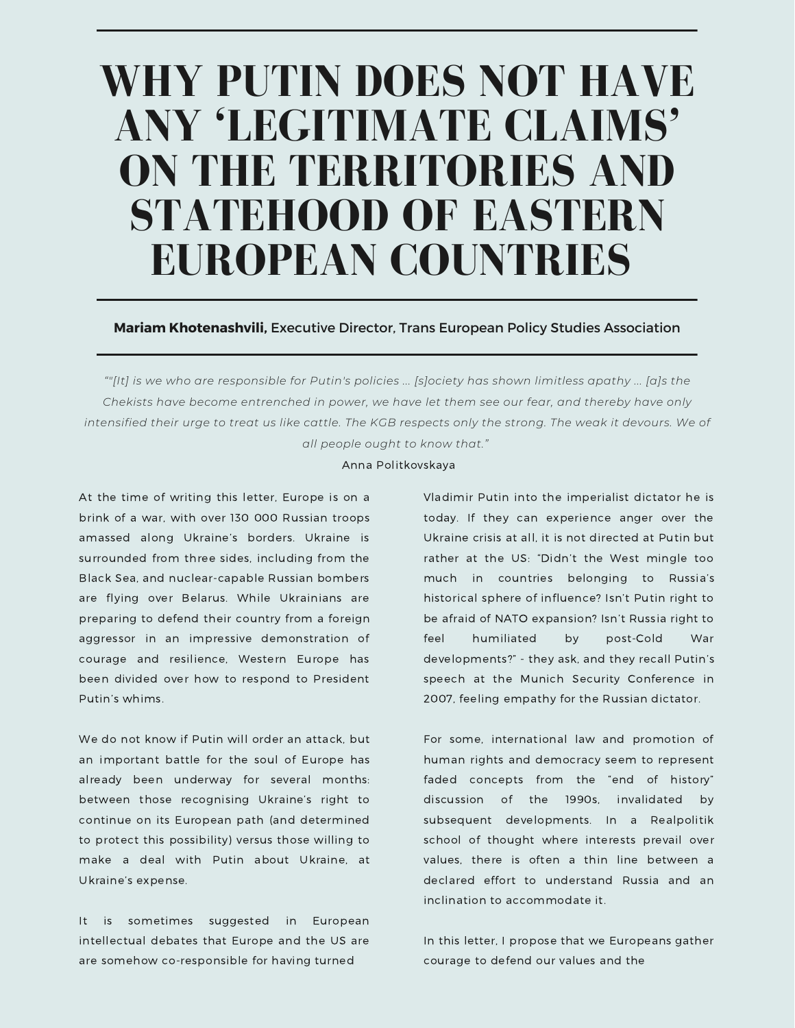# **WHY PUTIN DOES NOT HAVE ANY 'LEGITIMATE CLAIMS' ON THE TERRITORIES AND STATEHOOD OF EASTERN EUROPEAN COUNTRIES**

**Mariam Khotenashvili,** Executive Director, Trans European Policy Studies Association

""[It] is we who are responsible for Putin's policies ... [s]ociety has shown limitless apathy ... [a]s the *Chekists have become entrenched in power, we have let them see our fear, and thereby have only* intensified their urge to treat us like cattle. The KGB respects only the strong. The weak it devours. We of *all people ought to know that."*

Anna Politkovskaya

At the time of writing this letter, Europe is on a brink of a war, with over 130 000 Russian troops amassed along Ukraine's borders. Ukraine is surrounded from three sides, including from the Black Sea, and nuclear-capable Russian bombers are flying over Belarus. While Ukrainians are preparing to defend their country from a foreign aggressor in an impressive demonstration of courage and resilience, Western Europe has been divided over how to respond to President Putin's whims.

We do not know if Putin will order an attack, but an important battle for the soul of Europe has already been underway for several months: between those recognising Ukraine's right to continue on its European path (and determined to protect this possibility) versus those willing to make a deal with Putin about Ukraine, at Ukraine's expense.

It is sometimes suggested in European intellectual debates that Europe and the US are are somehow co-responsible for having turned

Vladimir Putin into the imperialist dictator he is today. If they can experience anger over the Ukraine crisis at all, it is not directed at Putin but rather at the US: "Didn't the West mingle too much in countries belonging to Russia's historical sphere of influence? Isn't Putin right to be afraid of NATO expansion? Isn't Russia right to feel humiliated by post-Cold War developments?" - they ask, and they recall Putin's speech at the Munich Security Conference in 2007, feeling empathy for the Russian dictator.

For some, international law and promotion of human rights and democracy seem to represent faded concepts from the "end of history" discussion of the 1990s, invalidated by subsequent developments. In a Realpolitik school of thought where interests prevail over values, there is often a thin line between a declared effort to understand Russia and an inclination to accommodate it.

In this letter, I propose that we Europeans gather courage to defend our values and the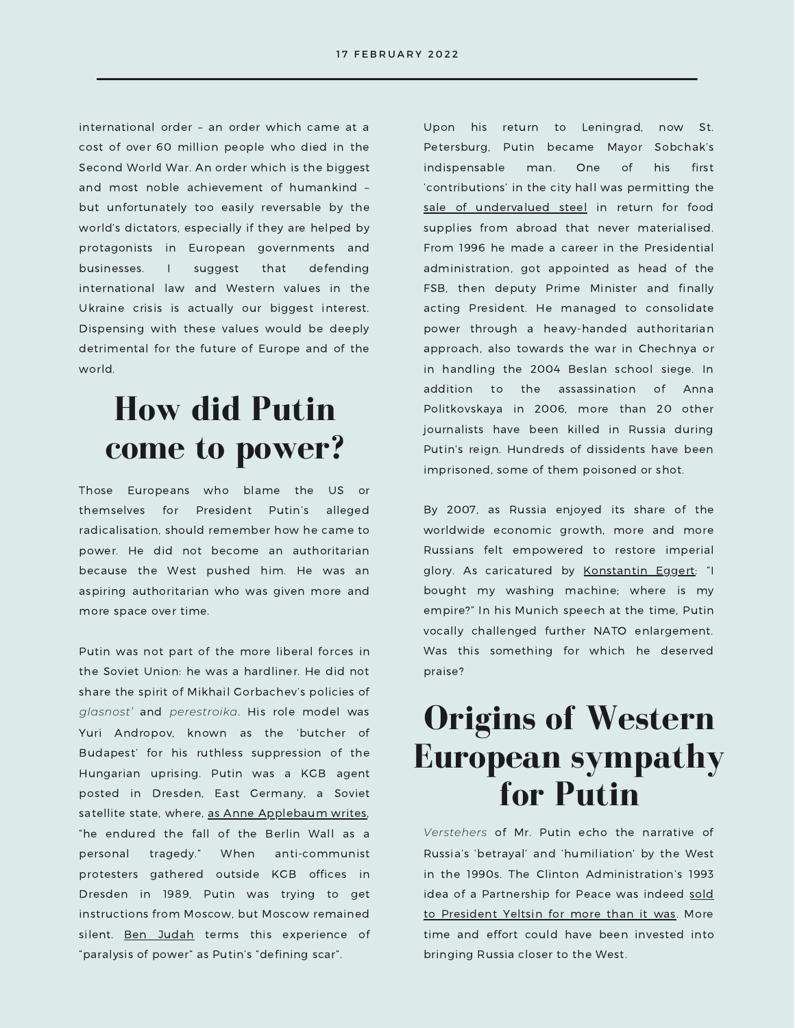international order – an order which came at a cost of over 60 million people who died in the Second World War. An order which is the biggest and most noble achievement of humankind – but unfortunately too easily reversable by the world's dictators, especially if they are helped by protagonists in European governments and businesses. I suggest that defending international law and Western values in the Ukraine crisis is actually our biggest interest. Dispensing with these values would be deeply detrimental for the future of Europe and of the world.

#### **How did Putin come to power?**

Those Europeans who blame the US or themselves for President Putin's alleged radicalisation, should remember how he came to power. He did not become an authoritarian because the West pushed him. He was an aspiring authoritarian who was given more and more space over time.

Putin was not part of the more liberal forces in the Soviet Union: he was a hardliner. He did not share the spirit of Mikhail Gorbachev's policies of *glasnost'* and *perestroika*. His role model was Yuri Andropov, known as the 'butcher of Budapest' for his ruthless suppression of the Hungarian uprising. Putin was a KGB agent posted in Dresden, East Germany, a Soviet satellite state, where, as Anne [Applebaum](https://www.anneapplebaum.com/2022/02/03/the-reason-putin-would-risk-war/) writes, "he endured the fall of the Berlin Wall as a personal tragedy." When anti-communist protesters gathered outside KGB offices in Dresden in 1989, Putin was trying to get instructions from Moscow, but Moscow remained silent. Ben [Judah](https://www.businessinsider.com/how-vladimir-putin-rose-to-power-2017-2?r=US&IR=T) terms this experience of "paralysis of power" as Putin's "defining scar".

Upon his return to Leningrad, now St. Petersburg, Putin became Mayor Sobchak's indispensable man. One of his first 'contributions' in the city hall was [permitting](https://www.dw.com/en/vladimir-putin-how-a-spy-rose-to-power-and-held-on-to-it/a-43030900) the sale of [undervalued](https://www.dw.com/en/vladimir-putin-how-a-spy-rose-to-power-and-held-on-to-it/a-43030900) steel in return for food supplies from abroad that never materialised. From 1996 he made a career in the Presidential administration, got appointed as head of the FSB, then deputy Prime Minister and finally acting President. He managed to consolidate power through a heavy-handed authoritarian approach, also towards the war in Chechnya or in handling the 2004 Beslan school siege. In addition to the assassination of Anna Politkovskaya in 2006, more than 20 other journalists have been killed in Russia during Putin's reign. Hundreds of dissidents have been imprisoned, some of them poisoned or shot.

By 2007, as Russia enjoyed its share of the worldwide economic growth, more and more Russians felt empowered to restore imperial glory. As caricatured by [Konstantin](https://www.powervertical.org/2022/02/11/putins-road-from-munich/) Eggert: "I bought my washing machine; where is my empire?" In his Munich speech at the time, Putin vocally challenged further NATO enlargement. Was this something for which he deserved praise?

## **Origins of Western European sympathy for Putin**

*Verstehers* of Mr. Putin echo the narrative of Russia's 'betrayal' and 'humiliation' by the West in the 1990s. The Clinton Administration's 1993 idea of a [Partnership](https://warontherocks.com/2016/07/promises-made-promises-broken-what-yeltsin-was-told-about-nato-in-1993-and-why-it-matters/) for Peace was indeed sold to President Yeltsin for more than it was. More time and effort could have been invested into bringing Russia closer to the West.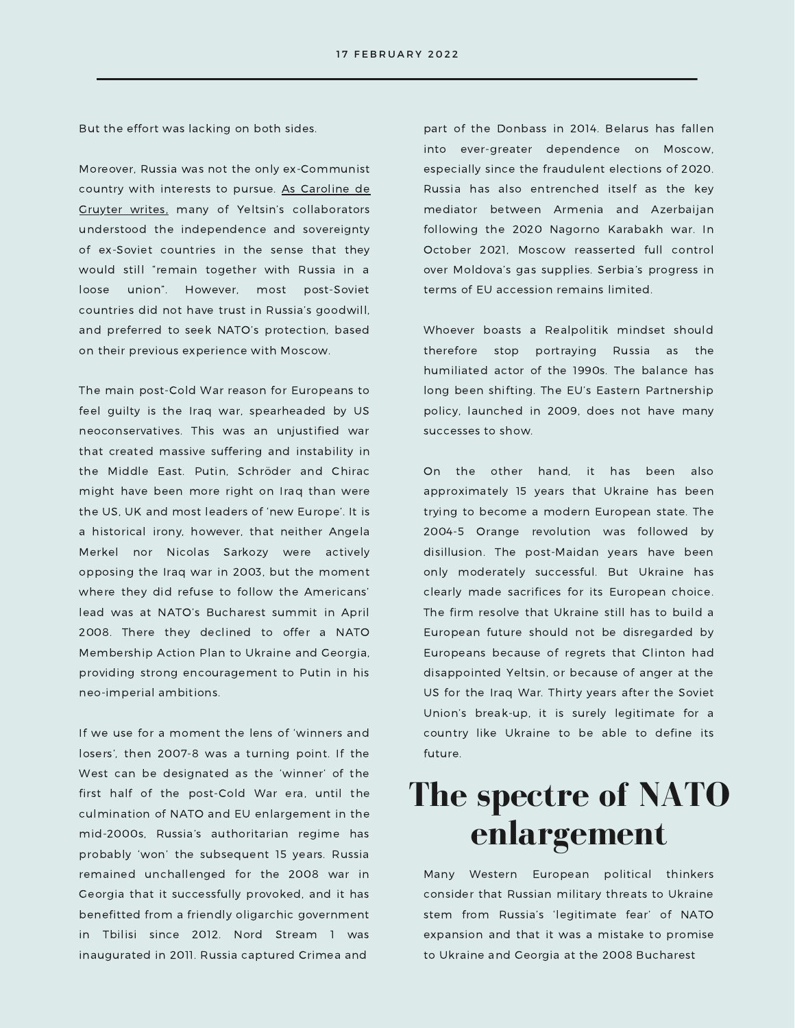But the effort was lacking on both sides.

Moreover, Russia was not the only ex-Communist country with interests to pursue. As Caroline de Gruyter writes, many of Yeltsin's [collaborators](https://foreignpolicy.com/2022/02/14/putin-wont-ever-let-ukraine-be-finland/) understood the independence and sovereignty of ex-Soviet countries in the sense that they would still "remain together with Russia in a loose union". However, most post-Soviet countries did not have trust in Russia's goodwill, and preferred to seek NATO's protection, based on their previous experience with Moscow.

The main post-Cold War reason for Europeans to feel guilty is the Iraq war, spearheaded by US neoconservatives. This was an unjustified war that created massive suffering and instability in the Middle East. Putin, Schröder and Chirac might have been more right on Iraq than were the US, UK and most leaders of 'new Europe'. It is a historical irony, however, that neither Angela Merkel nor Nicolas Sarkozy were actively opposing the Iraq war in 2003, but the moment where they did refuse to follow the Americans' lead was at NATO's Bucharest summit in April 2008. There they declined to offer a NATO Membership Action Plan to Ukraine and Georgia, providing strong encouragement to Putin in his neo-imperial ambitions.

If we use for a moment the lens of 'winners and losers', then 2007-8 was a turning point. If the West can be designated as the 'winner' of the first half of the post-Cold War era, until the culmination of NATO and EU enlargement in the mid-2000s, Russia's authoritarian regime has probably 'won' the subsequent 15 years. Russia remained unchallenged for the 2008 war in Georgia that it successfully provoked, and it has benefitted from a friendly oligarchic government in Tbilisi since 2012. Nord Stream 1 was inaugurated in 2011. Russia captured Crimea and

part of the Donbass in 2014. Belarus has fallen into ever-greater dependence on Moscow, especially since the fraudulent elections of 2020. Russia has also entrenched itself as the key mediator between Armenia and Azerbaijan following the 2020 Nagorno Karabakh war. In October 2021, Moscow reasserted full control over Moldova's gas supplies. Serbia's progress in terms of EU accession remains limited.

Whoever boasts a Realpolitik mindset should therefore stop portraying Russia as the humiliated actor of the 1990s. The balance has long been shifting. The EU's Eastern Partnership policy, launched in 2009, does not have many successes to show.

On the other hand, it has been also approximately 15 years that Ukraine has been trying to become a modern European state. The 2004-5 Orange revolution was followed by disillusion. The post-Maidan years have been only moderately successful. But Ukraine has clearly made sacrifices for its European choice. The firm resolve that Ukraine still has to build a European future should not be disregarded by Europeans because of regrets that Clinton had disappointed Yeltsin, or because of anger at the US for the Iraq War. Thirty years after the Soviet Union's break-up, it is surely legitimate for a country like Ukraine to be able to define its future.

#### **The spectre of NATO enlargement**

Many Western European political thinkers consider that Russian military threats to Ukraine stem from Russia's 'legitimate fear' of NATO expansion and that it was a mistake to promise to Ukraine and Georgia at the 2008 Bucharest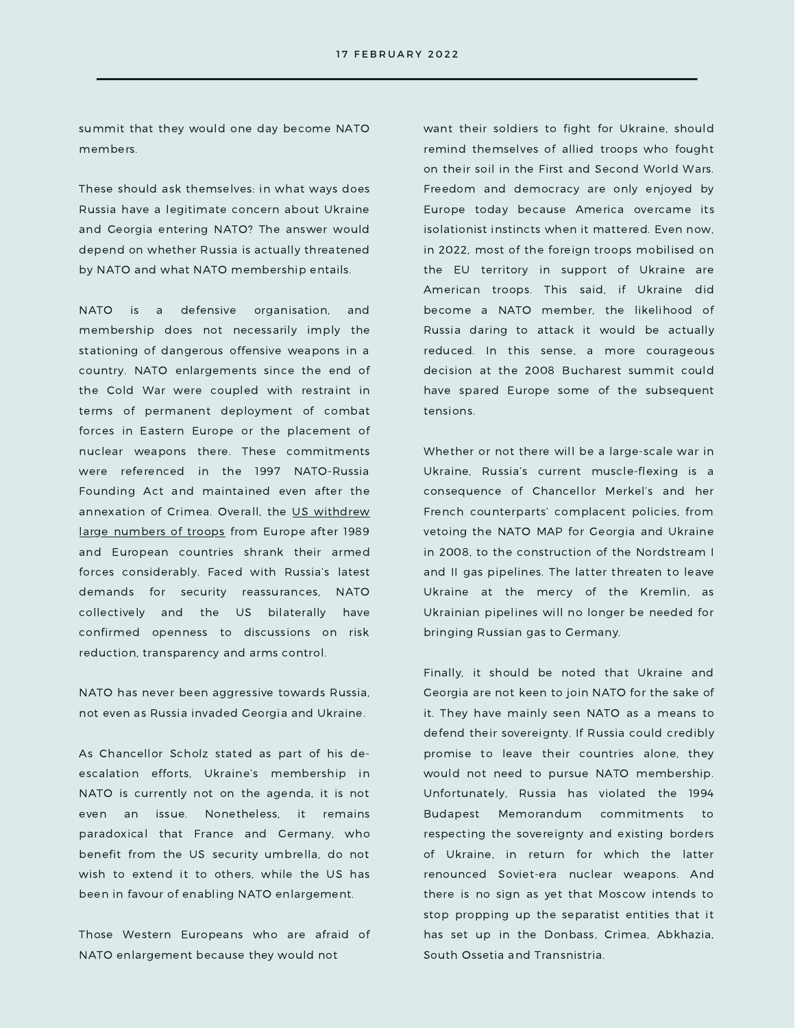summit that they would one day become NATO members.

These should ask themselves: in what ways does Russia have a legitimate concern about Ukraine and Georgia entering NATO? The answer would depend on whether Russia is actually threatened by NATO and what NATO membership entails.

NATO is a defensive organisation, and membership does not necessarily imply the stationing of dangerous offensive weapons in a country. NATO enlargements since the end of the Cold War were coupled with restraint in terms of permanent deployment of combat forces in Eastern Europe or the placement of nuclear weapons there. These commitments were referenced in the 1997 NATO-Russia Founding Act and maintained even after the [annexation](https://www.economist.com/briefing/2022/01/08/russias-menacing-of-ukraine-is-unlikely-to-induce-nato-to-retreat) of Crimea. Overall, the US withdrew large numbers of troops from Europe after 1989 and European countries shrank their armed forces considerably. Faced with Russia's latest demands for security reassurances, NATO collectively and the US bilaterally have confirmed openness to discussions on risk reduction, transparency and arms control.

NATO has never been aggressive towards Russia, not even as Russia invaded Georgia and Ukraine.

As Chancellor Scholz stated as part of his deescalation efforts, Ukraine's membership in NATO is currently not on the agenda, it is not even an issue. Nonetheless, it remains paradoxical that France and Germany, who benefit from the US security umbrella, do not wish to extend it to others, while the US has been in favour of enabling NATO enlargement.

Those Western Europeans who are afraid of NATO enlargement because they would not

want their soldiers to fight for Ukraine, should remind themselves of allied troops who fought on their soil in the First and Second World Wars. Freedom and democracy are only enjoyed by Europe today because America overcame its isolationist instincts when it mattered. Even now, in 2022, most of the foreign troops mobilised on the EU territory in support of Ukraine are American troops. This said, if Ukraine did become a NATO member, the likelihood of Russia daring to attack it would be actually reduced. In this sense, a more courageous decision at the 2008 Bucharest summit could have spared Europe some of the subsequent tensions.

Whether or not there will be a large-scale war in Ukraine, Russia's current muscle-flexing is a consequence of Chancellor Merkel's and her French counterparts' complacent policies, from vetoing the NATO MAP for Georgia and Ukraine in 2008, to the construction of the Nordstream I and II gas pipelines. The latter threaten to leave Ukraine at the mercy of the Kremlin, as Ukrainian pipelines will no longer be needed for bringing Russian gas to Germany.

Finally, it should be noted that Ukraine and Georgia are not keen to join NATO for the sake of it. They have mainly seen NATO as a means to defend their sovereignty. If Russia could credibly promise to leave their countries alone, they would not need to pursue NATO membership. Unfortunately, Russia has violated the 1994 Budapest Memorandum commitments to respecting the sovereignty and existing borders of Ukraine, in return for which the latter renounced Soviet-era nuclear weapons. And there is no sign as yet that Moscow intends to stop propping up the separatist entities that it has set up in the Donbass, Crimea, Abkhazia, South Ossetia and Transnistria.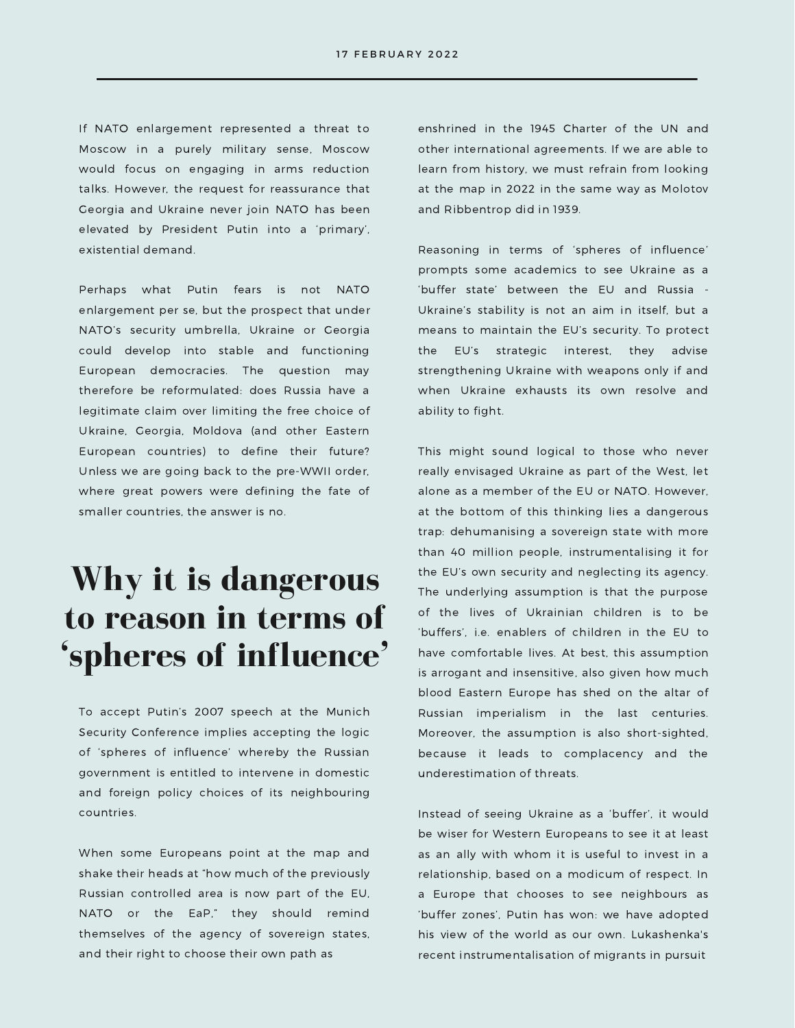If NATO enlargement represented a threat to Moscow in a purely military sense, Moscow would focus on engaging in arms reduction talks. However, the request for reassurance that Georgia and Ukraine never join NATO has been elevated by President Putin into a 'primary', existential demand.

Perhaps what Putin fears is not NATO enlargement per se, but the prospect that under NATO's security umbrella, Ukraine or Georgia could develop into stable and functioning European democracies. The question may therefore be reformulated: does Russia have a legitimate claim over limiting the free choice of Ukraine, Georgia, Moldova (and other Eastern European countries) to define their future? Unless we are going back to the pre-WWII order, where great powers were defining the fate of smaller countries, the answer is no.

### **Why it is dangerous to reason in terms of 'spheres of influence'**

To accept Putin's 2007 speech at the Munich Security Conference implies accepting the logic of 'spheres of influence' whereby the Russian government is entitled to intervene in domestic and foreign policy choices of its neighbouring countries.

When some Europeans point at the map and shake their heads at "how much of the previously Russian controlled area is now part of the EU, NATO or the EaP," they should remind themselves of the agency of sovereign states, and their right to choose their own path as

enshrined in the 1945 Charter of the UN and other international agreements. If we are able to learn from history, we must refrain from looking at the map in 2022 in the same way as Molotov and Ribbentrop did in 1939.

Reasoning in terms of 'spheres of influence' prompts some academics to see Ukraine as a 'buffer state' between the EU and Russia - Ukraine's stability is not an aim in itself, but a means to maintain the EU's security. To protect the EU's strategic interest, they advise strengthening Ukraine with weapons only if and when Ukraine exhausts its own resolve and ability to fight.

This might sound logical to those who never really envisaged Ukraine as part of the West, let alone as a member of the EU or NATO. However, at the bottom of this thinking lies a dangerous trap: dehumanising a sovereign state with more than 40 million people, instrumentalising it for the EU's own security and neglecting its agency. The underlying assumption is that the purpose of the lives of Ukrainian children is to be 'buffers', i.e. enablers of children in the EU to have comfortable lives. At best, this assumption is arrogant and insensitive, also given how much blood Eastern Europe has shed on the altar of Russian imperialism in the last centuries. Moreover, the assumption is also short-sighted, because it leads to complacency and the underestimation of threats.

Instead of seeing Ukraine as a 'buffer', it would be wiser for Western Europeans to see it at least as an ally with whom it is useful to invest in a relationship, based on a modicum of respect. In a Europe that chooses to see neighbours as 'buffer zones', Putin has won: we have adopted his view of the world as our own. Lukashenka's recent instrumentalisation of migrants in pursuit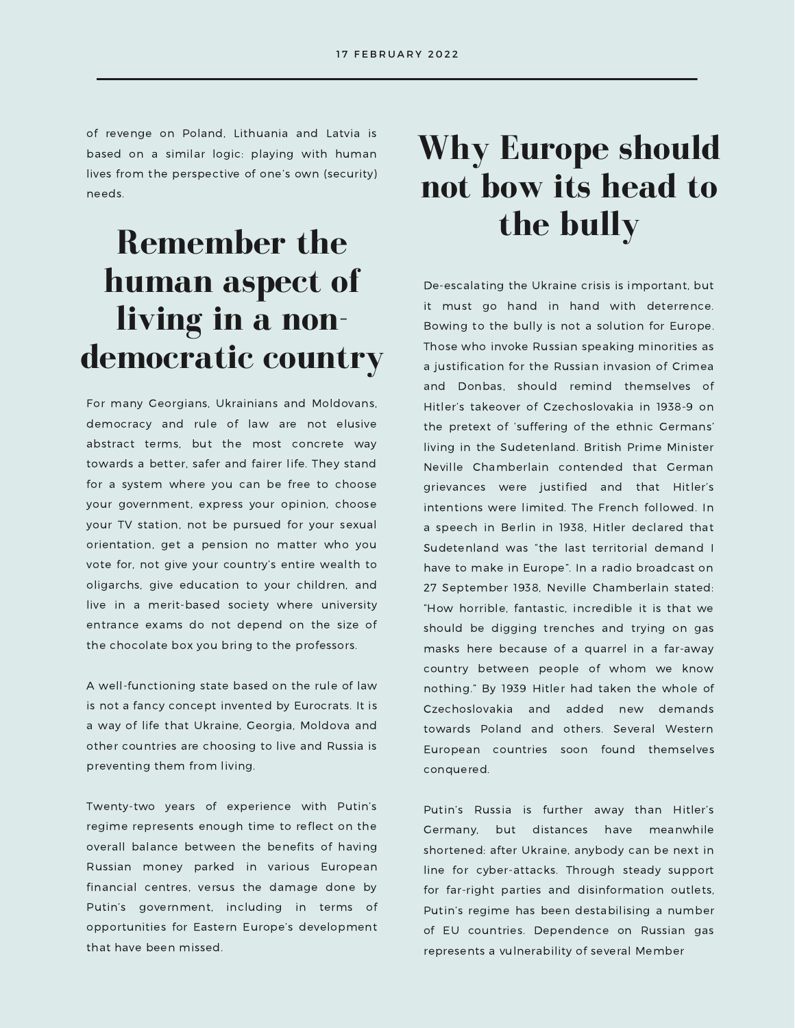of revenge on Poland, Lithuania and Latvia is based on a similar logic: playing with human lives from the perspective of one's own (security) needs.

# **Remember the human aspect of living in a nondemocratic country**

For many Georgians, Ukrainians and Moldovans, democracy and rule of law are not elusive abstract terms, but the most concrete way towards a better, safer and fairer life. They stand for a system where you can be free to choose your government, express your opinion, choose your TV station, not be pursued for your sexual orientation, get a pension no matter who you vote for, not give your country's entire wealth to oligarchs, give education to your children, and live in a merit-based society where university entrance exams do not depend on the size of the chocolate box you bring to the professors.

A well-functioning state based on the rule of law is not a fancy concept invented by Eurocrats. It is a way of life that Ukraine, Georgia, Moldova and other countries are choosing to live and Russia is preventing them from living.

Twenty-two years of experience with Putin's regime represents enough time to reflect on the overall balance between the benefits of having Russian money parked in various European financial centres, versus the damage done by Putin's government, including in terms of opportunities for Eastern Europe's development that have been missed.

# **Why Europe should not bow its head to the bully**

De-escalating the Ukraine crisis is important, but it must go hand in hand with deterrence. Bowing to the bully is not a solution for Europe. Those who invoke Russian speaking minorities as a justification for the Russian invasion of Crimea and Donbas, should remind themselves of Hitler's takeover of Czechoslovakia in 1938-9 on the pretext of 'suffering of the ethnic Germans' living in the Sudetenland. British Prime Minister Neville Chamberlain contended that German grievances were justified and that Hitler's intentions were limited. The French followed. In a speech in Berlin in 1938, Hitler declared that Sudetenland was "the last territorial demand I have to make in Europe". In a radio broadcast on 27 September 1938, Neville Chamberlain stated: "How horrible, fantastic, incredible it is that we should be digging trenches and trying on gas masks here because of a quarrel in a far-away country between people of whom we know nothing." By 1939 Hitler had taken the whole of Czechoslovakia and added new demands towards Poland and others. Several Western European countries soon found themselves conquered.

Putin's Russia is further away than Hitler's Germany, but distances have meanwhile shortened: after Ukraine, anybody can be next in line for cyber-attacks. Through steady support for far-right parties and disinformation outlets, Putin's regime has been destabilising a number of EU countries. Dependence on Russian gas represents a vulnerability of several Member